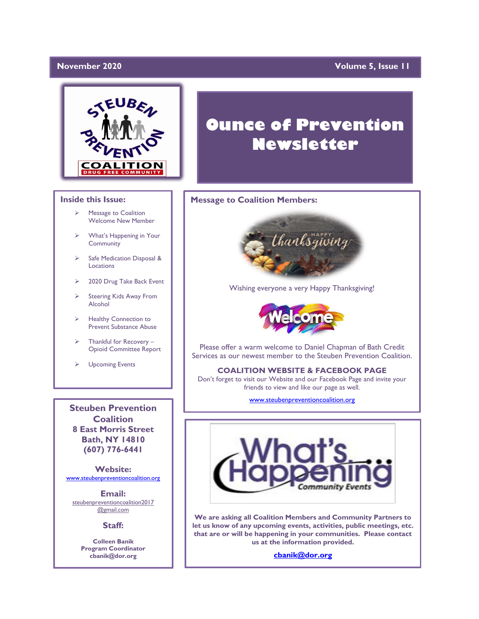# **November 2020**

# **Volume 5, Issue 11**



# **Inside this Issue:**

- ➢ Message to Coalition Welcome New Member
- ➢ What's Happening in Your Community
- ➢ Safe Medication Disposal & Locations
- 2020 Drug Take Back Event
- ➢ Steering Kids Away From Alcohol
- ➢ Healthy Connection to Prevent Substance Abuse
- $\triangleright$  Thankful for Recovery Opioid Committee Report
- ➢ Upcoming Events

**Steuben Prevention Coalition 8 East Morris Street Bath, NY 14810 (607) 776-6441**

**Website:**  [www.steubenpreventioncoalition.org](http://www.steubenpreventioncoalition.org/)

**Email:**  steubenpreventioncoalition2017 @gmail.com

**Staff:**

**Colleen Banik Program Coordinator cbanik@dor.org**

# **Ounce of Prevention Newsletter**

## **Message to Coalition Members:**



Wishing everyone a very Happy Thanksgiving!



Please offer a warm welcome to Daniel Chapman of Bath Credit Services as our newest member to the Steuben Prevention Coalition.

**COALITION WEBSITE & FACEBOOK PAGE** Don't forget to visit our Website and our Facebook Page and invite your

friends to view and like our page as well.

[www.steubenpreventioncoalition.org](http://www.steubenpreventioncoalition.org/)



**We are asking all Coalition Members and Community Partners to let us know of any upcoming events, activities, public meetings, etc. that are or will be happening in your communities. Please contact us at the information provided.**

**[cbanik@dor.org](mailto:cbanik@dor.org)**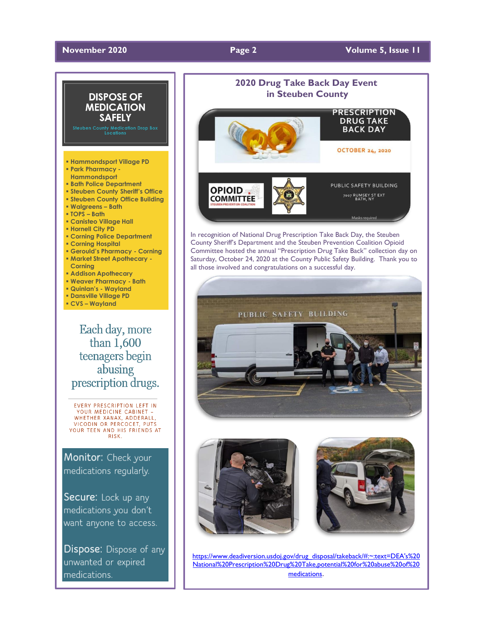# **November** 2020 **Page 2 Volume 5, Issue 11**



abusing prescription drugs.

EVERY PRESCRIPTION LEFT IN YOUR MEDICINE CABINET -WHETHER XANAX, ADDERALL, VICODIN OR PERCOCET, PUTS **YOUR TEEN AND HIS FRIENDS AT**<br>RISK.

Monitor: Check your medications regularly.

Secure: Lock up any medications you don't want anyone to access.

Dispose: Dispose of any unwanted or expired medications.



In recognition of National Drug Prescription Take Back Day, the Steuben County Sheriff's Department and the Steuben Prevention Coalition Opioid Committee hosted the annual "Prescription Drug Take Back" collection day on Saturday, October 24, 2020 at the County Public Safety Building. Thank you to all those involved and congratulations on a successful day.







[https://www.deadiversion.usdoj.gov/drug\\_disposal/takeback/#:~:text=DEA's%20](https://www.deadiversion.usdoj.gov/drug_disposal/takeback/#:~:text=DEA) [National%20Prescription%20Drug%20Take,potential%20for%20abuse%20of%20](https://www.deadiversion.usdoj.gov/drug_disposal/takeback/#:~:text=DEA) [medications](https://www.deadiversion.usdoj.gov/drug_disposal/takeback/#:~:text=DEA).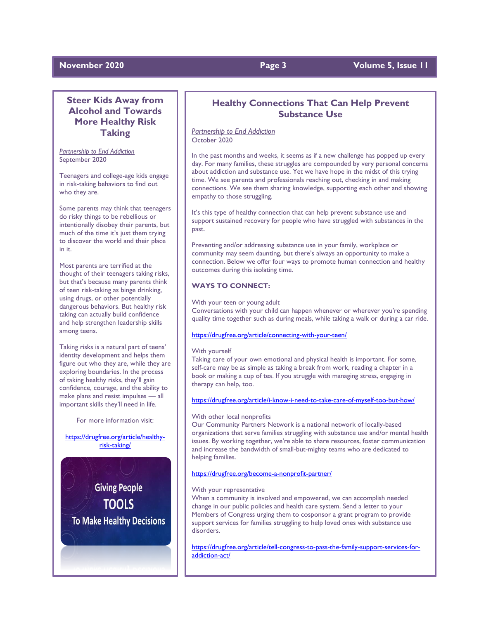# **Steer Kids Away from Alcohol and Towards More Healthy Risk Taking**

*Partnership to End Addiction* September 2020

Teenagers and college-age kids engage in risk-taking behaviors to find out who they are.

Some parents may think that teenagers do risky things to be rebellious or intentionally disobey their parents, but much of the time it's just them trying to discover the world and their place in it.

Most parents are terrified at the thought of their teenagers taking risks, but that's because many parents think of teen risk-taking as binge drinking, using drugs, or other potentially dangerous behaviors. But healthy risk taking can actually build confidence and help strengthen leadership skills among teens.

Taking risks is a natural part of teens' identity development and helps them figure out who they are, while they are exploring boundaries. In the process of taking healthy risks, they'll gain confidence, courage, and the ability to make plans and resist impulses — all important skills they'll need in life.

For more information visit:

[https://drugfree.org/article/healthy](https://drugfree.org/article/healthy-risk-taking/)[risk-taking/](https://drugfree.org/article/healthy-risk-taking/)



# **Healthy Connections That Can Help Prevent Substance Use**

*Partnership to End Addiction* October 2020

In the past months and weeks, it seems as if a new challenge has popped up every day. For many families, these struggles are compounded by very personal concerns about addiction and substance use. Yet we have hope in the midst of this trying time. We see parents and professionals reaching out, checking in and making connections. We see them sharing knowledge, supporting each other and showing empathy to those struggling.

It's this type of healthy connection that can help prevent substance use and support sustained recovery for people who have struggled with substances in the past.

Preventing and/or addressing substance use in your family, workplace or community may seem daunting, but there's always an opportunity to make a connection. Below we offer four ways to promote human connection and healthy outcomes during this isolating time.

### **WAYS TO CONNECT:**

With your teen or young adult

Conversations with your child can happen whenever or wherever you're spending quality time together such as during meals, while taking a walk or during a car ride.

<https://drugfree.org/article/connecting-with-your-teen/>

#### With yourself

Taking care of your own emotional and physical health is important. For some, self-care may be as simple as taking a break from work, reading a chapter in a book or making a cup of tea. If you struggle with managing stress, engaging in therapy can help, too.

### <https://drugfree.org/article/i-know-i-need-to-take-care-of-myself-too-but-how/>

#### With other local nonprofits

Our Community Partners Network is a national network of locally-based organizations that serve families struggling with substance use and/or mental health issues. By working together, we're able to share resources, foster communication and increase the bandwidth of small-but-mighty teams who are dedicated to helping families.

### <https://drugfree.org/become-a-nonprofit-partner/>

#### With your representative

When a community is involved and empowered, we can accomplish needed change in our public policies and health care system. Send a letter to your Members of Congress urging them to cosponsor a grant program to provide support services for families struggling to help loved ones with substance use disorders.

[https://drugfree.org/article/tell-congress-to-pass-the-family-support-services-for](https://drugfree.org/article/tell-congress-to-pass-the-family-support-services-for-addiction-act/)[addiction-act/](https://drugfree.org/article/tell-congress-to-pass-the-family-support-services-for-addiction-act/)

# **November 2020 Page 3 Volume 5, Issue 11**